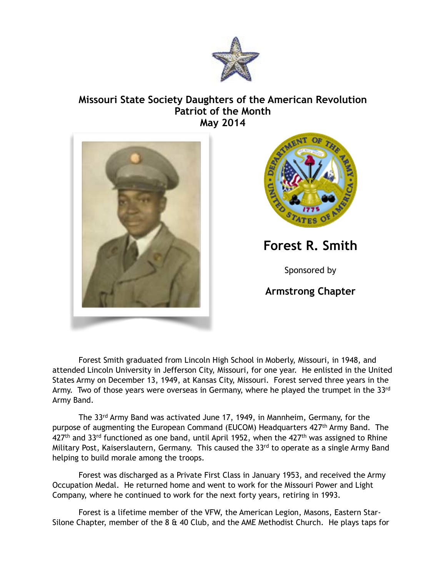

## **Missouri State Society Daughters of the American Revolution Patriot of the Month May 2014**





**Forest R. Smith**

Sponsored by

**Armstrong Chapter** 

 Forest Smith graduated from Lincoln High School in Moberly, Missouri, in 1948, and attended Lincoln University in Jefferson City, Missouri, for one year. He enlisted in the United States Army on December 13, 1949, at Kansas City, Missouri. Forest served three years in the Army. Two of those years were overseas in Germany, where he played the trumpet in the 33rd Army Band.

 The 33rd Army Band was activated June 17, 1949, in Mannheim, Germany, for the purpose of augmenting the European Command (EUCOM) Headquarters 427<sup>th</sup> Army Band. The  $427<sup>th</sup>$  and 33<sup>rd</sup> functioned as one band, until April 1952, when the  $427<sup>th</sup>$  was assigned to Rhine Military Post, Kaiserslautern, Germany. This caused the 33rd to operate as a single Army Band helping to build morale among the troops.

 Forest was discharged as a Private First Class in January 1953, and received the Army Occupation Medal. He returned home and went to work for the Missouri Power and Light Company, where he continued to work for the next forty years, retiring in 1993.

 Forest is a lifetime member of the VFW, the American Legion, Masons, Eastern Star-Silone Chapter, member of the  $8 \text{ ft}$  40 Club, and the AME Methodist Church. He plays taps for